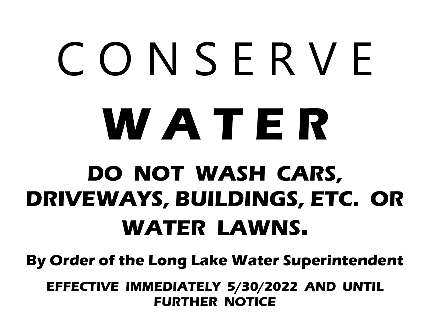# C O N S E R V E **W A T E R**

## **DO NOT WASH CARS, DRIVEWAYS, BUILDINGS, ETC. OR WATER LAWNS.**

**By Order of the Long Lake Water Superintendent** 

**EFFECTIVE IMMEDIATELY 5/30/2022 AND UNTIL FURTHER NOTICE**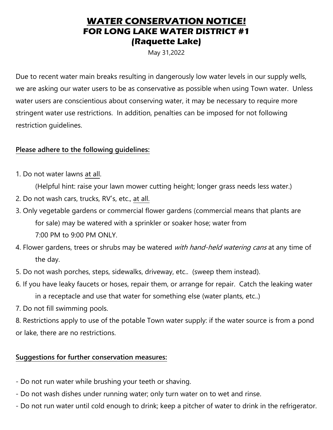### **WATER CONSERVATION NOTICE! FOR LONG LAKE WATER DISTRICT #1 (Raquette Lake)**

May 31,2022

Due to recent water main breaks resulting in dangerously low water levels in our supply wells, we are asking our water users to be as conservative as possible when using Town water. Unless water users are conscientious about conserving water, it may be necessary to require more stringent water use restrictions. In addition, penalties can be imposed for not following restriction guidelines.

#### **Please adhere to the following guidelines:**

1. Do not water lawns at all.

(Helpful hint: raise your lawn mower cutting height; longer grass needs less water.)

- 2. Do not wash cars, trucks, RV's, etc., at all.
- 3. Only vegetable gardens or commercial flower gardens (commercial means that plants are for sale) may be watered with a sprinkler or soaker hose; water from 7:00 PM to 9:00 PM ONLY.
- 4. Flower gardens, trees or shrubs may be watered with hand-held watering cans at any time of the day.
- 5. Do not wash porches, steps, sidewalks, driveway, etc.. (sweep them instead).
- 6. If you have leaky faucets or hoses, repair them, or arrange for repair. Catch the leaking water in a receptacle and use that water for something else (water plants, etc..)
- 7. Do not fill swimming pools.

8. Restrictions apply to use of the potable Town water supply: if the water source is from a pond or lake, there are no restrictions.

#### **Suggestions for further conservation measures:**

- Do not run water while brushing your teeth or shaving.
- Do not wash dishes under running water; only turn water on to wet and rinse.
- Do not run water until cold enough to drink; keep a pitcher of water to drink in the refrigerator.